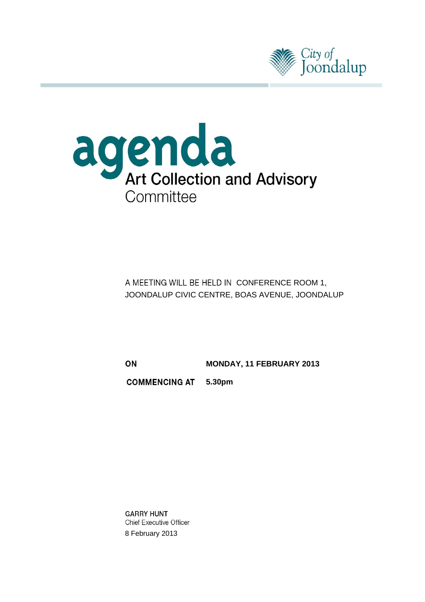



A MEETING WILL BE HELD IN CONFERENCE ROOM 1, JOONDALUP CIVIC CENTRE, BOAS AVENUE, JOONDALUP

**MONDAY, 11 FEBRUARY 2013**

**5.30pm**

**GARRY HUNT Chief Executive Officer** 8 February 2013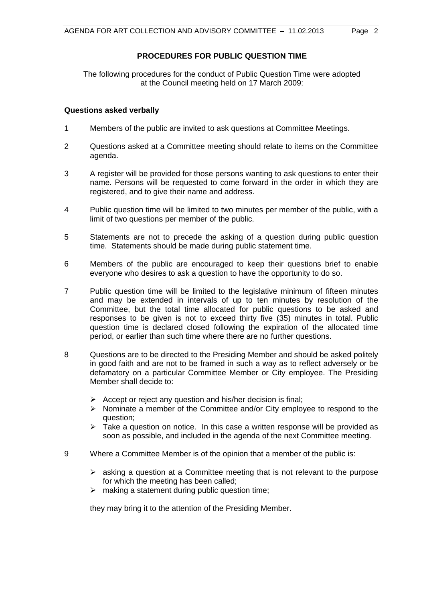## **PROCEDURES FOR PUBLIC QUESTION TIME**

The following procedures for the conduct of Public Question Time were adopted at the Council meeting held on 17 March 2009:

## **Questions asked verbally**

- 1 Members of the public are invited to ask questions at Committee Meetings.
- 2 Questions asked at a Committee meeting should relate to items on the Committee agenda.
- 3 A register will be provided for those persons wanting to ask questions to enter their name. Persons will be requested to come forward in the order in which they are registered, and to give their name and address.
- 4 Public question time will be limited to two minutes per member of the public, with a limit of two questions per member of the public.
- 5 Statements are not to precede the asking of a question during public question time. Statements should be made during public statement time.
- 6 Members of the public are encouraged to keep their questions brief to enable everyone who desires to ask a question to have the opportunity to do so.
- 7 Public question time will be limited to the legislative minimum of fifteen minutes and may be extended in intervals of up to ten minutes by resolution of the Committee, but the total time allocated for public questions to be asked and responses to be given is not to exceed thirty five (35) minutes in total. Public question time is declared closed following the expiration of the allocated time period, or earlier than such time where there are no further questions.
- 8 Questions are to be directed to the Presiding Member and should be asked politely in good faith and are not to be framed in such a way as to reflect adversely or be defamatory on a particular Committee Member or City employee. The Presiding Member shall decide to:
	- $\triangleright$  Accept or reject any question and his/her decision is final;
	- $\triangleright$  Nominate a member of the Committee and/or City employee to respond to the question;
	- $\geq$  Take a question on notice. In this case a written response will be provided as soon as possible, and included in the agenda of the next Committee meeting.
- 9 Where a Committee Member is of the opinion that a member of the public is:
	- $\triangleright$  asking a question at a Committee meeting that is not relevant to the purpose for which the meeting has been called;
	- $\triangleright$  making a statement during public question time:

they may bring it to the attention of the Presiding Member.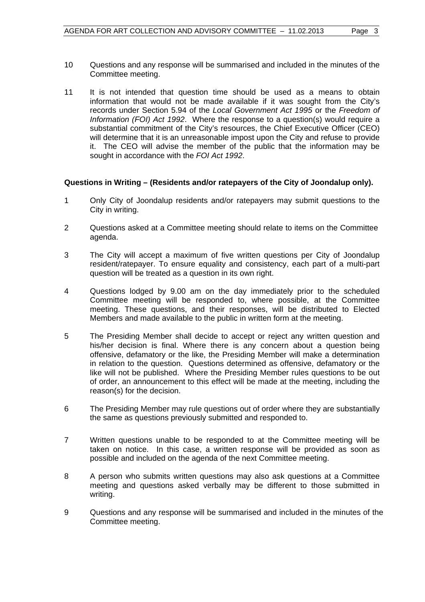- 10 Questions and any response will be summarised and included in the minutes of the Committee meeting.
- 11 It is not intended that question time should be used as a means to obtain information that would not be made available if it was sought from the City's records under Section 5.94 of the *Local Government Act 1995* or the *Freedom of Information (FOI) Act 1992*. Where the response to a question(s) would require a substantial commitment of the City's resources, the Chief Executive Officer (CEO) will determine that it is an unreasonable impost upon the City and refuse to provide it. The CEO will advise the member of the public that the information may be sought in accordance with the *FOI Act 1992*.

## **Questions in Writing – (Residents and/or ratepayers of the City of Joondalup only).**

- 1 Only City of Joondalup residents and/or ratepayers may submit questions to the City in writing.
- 2 Questions asked at a Committee meeting should relate to items on the Committee agenda.
- 3 The City will accept a maximum of five written questions per City of Joondalup resident/ratepayer. To ensure equality and consistency, each part of a multi-part question will be treated as a question in its own right.
- 4 Questions lodged by 9.00 am on the day immediately prior to the scheduled Committee meeting will be responded to, where possible, at the Committee meeting. These questions, and their responses, will be distributed to Elected Members and made available to the public in written form at the meeting.
- 5 The Presiding Member shall decide to accept or reject any written question and his/her decision is final. Where there is any concern about a question being offensive, defamatory or the like, the Presiding Member will make a determination in relation to the question. Questions determined as offensive, defamatory or the like will not be published. Where the Presiding Member rules questions to be out of order, an announcement to this effect will be made at the meeting, including the reason(s) for the decision.
- 6 The Presiding Member may rule questions out of order where they are substantially the same as questions previously submitted and responded to.
- 7 Written questions unable to be responded to at the Committee meeting will be taken on notice. In this case, a written response will be provided as soon as possible and included on the agenda of the next Committee meeting.
- 8 A person who submits written questions may also ask questions at a Committee meeting and questions asked verbally may be different to those submitted in writing.
- 9 Questions and any response will be summarised and included in the minutes of the Committee meeting.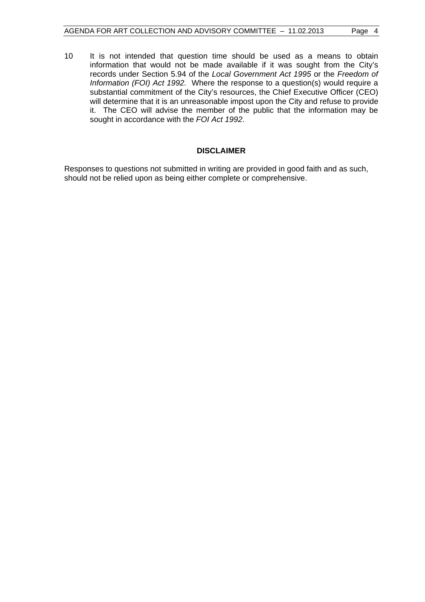10 It is not intended that question time should be used as a means to obtain information that would not be made available if it was sought from the City's records under Section 5.94 of the *Local Government Act 1995* or the *Freedom of Information (FOI) Act 1992.* Where the response to a question(s) would require a substantial commitment of the City's resources, the Chief Executive Officer (CEO) will determine that it is an unreasonable impost upon the City and refuse to provide it. The CEO will advise the member of the public that the information may be sought in accordance with the *FOI Act 1992*.

## **DISCLAIMER**

Responses to questions not submitted in writing are provided in good faith and as such, should not be relied upon as being either complete or comprehensive.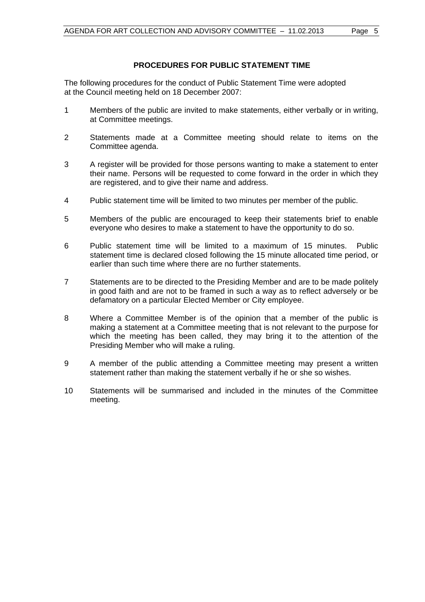## **PROCEDURES FOR PUBLIC STATEMENT TIME**

The following procedures for the conduct of Public Statement Time were adopted at the Council meeting held on 18 December 2007:

- 1 Members of the public are invited to make statements, either verbally or in writing, at Committee meetings.
- 2 Statements made at a Committee meeting should relate to items on the Committee agenda.
- 3 A register will be provided for those persons wanting to make a statement to enter their name. Persons will be requested to come forward in the order in which they are registered, and to give their name and address.
- 4 Public statement time will be limited to two minutes per member of the public.
- 5 Members of the public are encouraged to keep their statements brief to enable everyone who desires to make a statement to have the opportunity to do so.
- 6 Public statement time will be limited to a maximum of 15 minutes. Public statement time is declared closed following the 15 minute allocated time period, or earlier than such time where there are no further statements.
- 7 Statements are to be directed to the Presiding Member and are to be made politely in good faith and are not to be framed in such a way as to reflect adversely or be defamatory on a particular Elected Member or City employee.
- 8 Where a Committee Member is of the opinion that a member of the public is making a statement at a Committee meeting that is not relevant to the purpose for which the meeting has been called, they may bring it to the attention of the Presiding Member who will make a ruling.
- 9 A member of the public attending a Committee meeting may present a written statement rather than making the statement verbally if he or she so wishes.
- 10 Statements will be summarised and included in the minutes of the Committee meeting.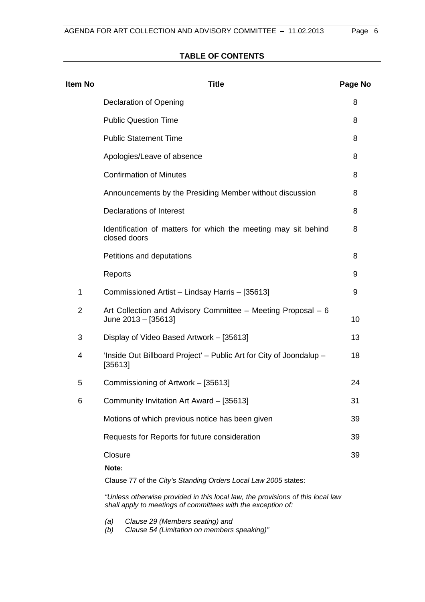## **TABLE OF CONTENTS**

| <b>Item No</b> | <b>Title</b>                                                                                                                                   | Page No |
|----------------|------------------------------------------------------------------------------------------------------------------------------------------------|---------|
|                | Declaration of Opening                                                                                                                         | 8       |
|                | <b>Public Question Time</b>                                                                                                                    | 8       |
|                | <b>Public Statement Time</b>                                                                                                                   | 8       |
|                | Apologies/Leave of absence                                                                                                                     | 8       |
|                | <b>Confirmation of Minutes</b>                                                                                                                 | 8       |
|                | Announcements by the Presiding Member without discussion                                                                                       | 8       |
|                | <b>Declarations of Interest</b>                                                                                                                | 8       |
|                | Identification of matters for which the meeting may sit behind<br>closed doors                                                                 | 8       |
|                | Petitions and deputations                                                                                                                      | 8       |
|                | Reports                                                                                                                                        | 9       |
| 1              | Commissioned Artist - Lindsay Harris - [35613]                                                                                                 | 9       |
| $\overline{2}$ | Art Collection and Advisory Committee - Meeting Proposal - 6<br>June 2013 - [35613]                                                            | 10      |
| 3              | Display of Video Based Artwork - [35613]                                                                                                       | 13      |
| 4              | 'Inside Out Billboard Project' – Public Art for City of Joondalup –<br>[35613]                                                                 | 18      |
| 5              | Commissioning of Artwork - [35613]                                                                                                             | 24      |
| 6              | Community Invitation Art Award - [35613]                                                                                                       | 31      |
|                | Motions of which previous notice has been given                                                                                                | 39      |
|                | Requests for Reports for future consideration                                                                                                  | 39      |
|                | Closure<br>Note:                                                                                                                               | 39      |
|                | Clause 77 of the City's Standing Orders Local Law 2005 states:                                                                                 |         |
|                | "Unless otherwise provided in this local law, the provisions of this local law<br>shall apply to meetings of committees with the exception of: |         |

*(a) Clause 29 (Members seating) and* 

*(b) Clause 54 (Limitation on members speaking)"*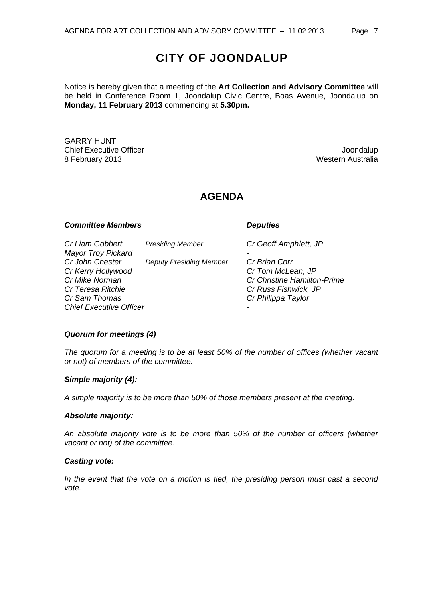# **CITY OF JOONDALUP**

Notice is hereby given that a meeting of the **Art Collection and Advisory Committee** will be held in Conference Room 1, Joondalup Civic Centre, Boas Avenue, Joondalup on **Monday, 11 February 2013** commencing at **5.30pm.** 

GARRY HUNT **Chief Executive Officer Chief Executive Officer According to the Chief Executive Officer Chief Executive Officer** 8 February 2013 **Western Australia** 

## **AGENDA**

## **Committee Members Committee Avenue Committee Avenue Committee Avenue Committee Avenue Committee Avenue Committee**

| Cr Liam Gobbert                | <b>Presiding Member</b>        | Cr Geoff Amphlett, JP              |
|--------------------------------|--------------------------------|------------------------------------|
| <b>Mayor Troy Pickard</b>      |                                |                                    |
| Cr John Chester                | <b>Deputy Presiding Member</b> | Cr Brian Corr                      |
| Cr Kerry Hollywood             |                                | Cr Tom McLean, JP                  |
| Cr Mike Norman                 |                                | <b>Cr Christine Hamilton-Prime</b> |
| Cr Teresa Ritchie              |                                | Cr Russ Fishwick, JP               |
| Cr Sam Thomas                  |                                | Cr Philippa Taylor                 |
| <b>Chief Executive Officer</b> |                                |                                    |
|                                |                                |                                    |

## *Quorum for meetings (4)*

*The quorum for a meeting is to be at least 50% of the number of offices (whether vacant or not) of members of the committee.* 

#### *Simple majority (4):*

*A simple majority is to be more than 50% of those members present at the meeting.* 

#### *Absolute majority:*

*An absolute majority vote is to be more than 50% of the number of officers (whether vacant or not) of the committee.* 

#### *Casting vote:*

*In the event that the vote on a motion is tied, the presiding person must cast a second vote.*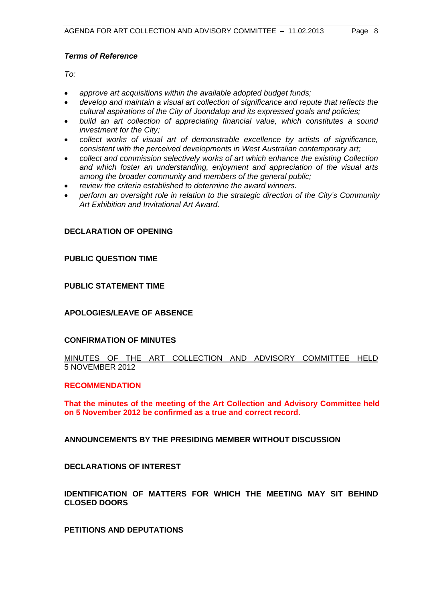## <span id="page-7-0"></span>*Terms of Reference*

*To:* 

- *approve art acquisitions within the available adopted budget funds;*
- *develop and maintain a visual art collection of significance and repute that reflects the cultural aspirations of the City of Joondalup and its expressed goals and policies;*
- *build an art collection of appreciating financial value, which constitutes a sound investment for the City;*
- *collect works of visual art of demonstrable excellence by artists of significance, consistent with the perceived developments in West Australian contemporary art;*
- *collect and commission selectively works of art which enhance the existing Collection and which foster an understanding, enjoyment and appreciation of the visual arts among the broader community and members of the general public;*
- *review the criteria established to determine the award winners.*
- *perform an oversight role in relation to the strategic direction of the City's Community Art Exhibition and Invitational Art Award.*

## **DECLARATION OF OPENING**

## **PUBLIC QUESTION TIME**

## **PUBLIC STATEMENT TIME**

## **APOLOGIES/LEAVE OF ABSENCE**

#### **CONFIRMATION OF MINUTES**

## MINUTES OF THE ART COLLECTION AND ADVISORY COMMITTEE HELD 5 NOVEMBER 2012

#### **RECOMMENDATION**

**That the minutes of the meeting of the Art Collection and Advisory Committee held on 5 November 2012 be confirmed as a true and correct record.** 

**ANNOUNCEMENTS BY THE PRESIDING MEMBER WITHOUT DISCUSSION** 

**DECLARATIONS OF INTEREST** 

## **IDENTIFICATION OF MATTERS FOR WHICH THE MEETING MAY SIT BEHIND CLOSED DOORS**

**PETITIONS AND DEPUTATIONS**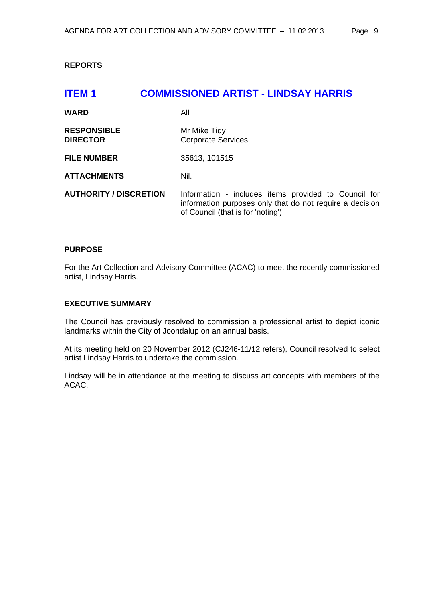## <span id="page-8-0"></span>**REPORTS**

## **ITEM 1 COMMISSIONED ARTIST - LINDSAY HARRIS**

| <b>WARD</b>                           | All                                                                                                                                                    |
|---------------------------------------|--------------------------------------------------------------------------------------------------------------------------------------------------------|
| <b>RESPONSIBLE</b><br><b>DIRECTOR</b> | Mr Mike Tidy<br><b>Corporate Services</b>                                                                                                              |
| <b>FILE NUMBER</b>                    | 35613, 101515                                                                                                                                          |
| <b>ATTACHMENTS</b>                    | Nil.                                                                                                                                                   |
| <b>AUTHORITY / DISCRETION</b>         | Information - includes items provided to Council for<br>information purposes only that do not require a decision<br>of Council (that is for 'noting'). |

### **PURPOSE**

For the Art Collection and Advisory Committee (ACAC) to meet the recently commissioned artist, Lindsay Harris.

## **EXECUTIVE SUMMARY**

The Council has previously resolved to commission a professional artist to depict iconic landmarks within the City of Joondalup on an annual basis.

At its meeting held on 20 November 2012 (CJ246-11/12 refers), Council resolved to select artist Lindsay Harris to undertake the commission.

Lindsay will be in attendance at the meeting to discuss art concepts with members of the ACAC.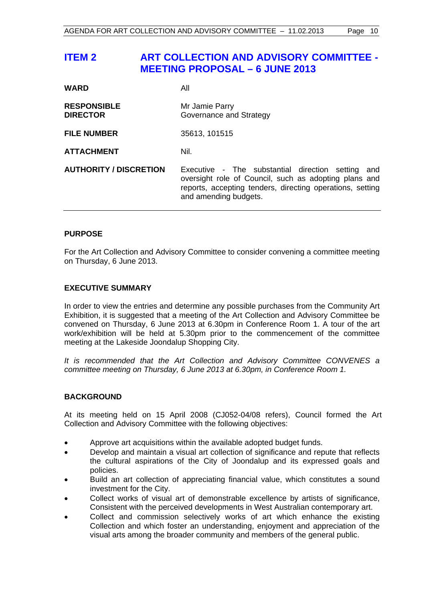## <span id="page-9-0"></span>**ITEM 2 ART COLLECTION AND ADVISORY COMMITTEE - MEETING PROPOSAL – 6 JUNE 2013**

| <b>WARD</b>                           | All                                                                                                                                                                                                 |
|---------------------------------------|-----------------------------------------------------------------------------------------------------------------------------------------------------------------------------------------------------|
| <b>RESPONSIBLE</b><br><b>DIRECTOR</b> | Mr Jamie Parry<br>Governance and Strategy                                                                                                                                                           |
| <b>FILE NUMBER</b>                    | 35613, 101515                                                                                                                                                                                       |
| <b>ATTACHMENT</b>                     | Nil.                                                                                                                                                                                                |
| <b>AUTHORITY / DISCRETION</b>         | Executive - The substantial direction setting<br>and<br>oversight role of Council, such as adopting plans and<br>reports, accepting tenders, directing operations, setting<br>and amending budgets. |

## **PURPOSE**

For the Art Collection and Advisory Committee to consider convening a committee meeting on Thursday, 6 June 2013.

#### **EXECUTIVE SUMMARY**

In order to view the entries and determine any possible purchases from the Community Art Exhibition, it is suggested that a meeting of the Art Collection and Advisory Committee be convened on Thursday, 6 June 2013 at 6.30pm in Conference Room 1. A tour of the art work/exhibition will be held at 5.30pm prior to the commencement of the committee meeting at the Lakeside Joondalup Shopping City.

*It is recommended that the Art Collection and Advisory Committee CONVENES a committee meeting on Thursday, 6 June 2013 at 6.30pm, in Conference Room 1.* 

## **BACKGROUND**

At its meeting held on 15 April 2008 (CJ052-04/08 refers), Council formed the Art Collection and Advisory Committee with the following objectives:

- Approve art acquisitions within the available adopted budget funds.
- Develop and maintain a visual art collection of significance and repute that reflects the cultural aspirations of the City of Joondalup and its expressed goals and policies.
- Build an art collection of appreciating financial value, which constitutes a sound investment for the City.
- Collect works of visual art of demonstrable excellence by artists of significance, Consistent with the perceived developments in West Australian contemporary art.
- Collect and commission selectively works of art which enhance the existing Collection and which foster an understanding, enjoyment and appreciation of the visual arts among the broader community and members of the general public.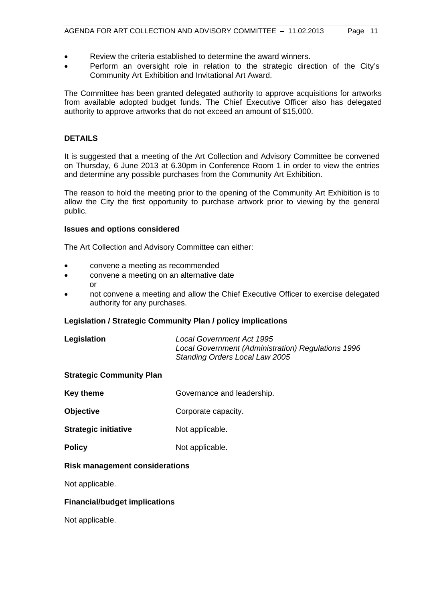- Review the criteria established to determine the award winners.
- Perform an oversight role in relation to the strategic direction of the City's Community Art Exhibition and Invitational Art Award.

The Committee has been granted delegated authority to approve acquisitions for artworks from available adopted budget funds. The Chief Executive Officer also has delegated authority to approve artworks that do not exceed an amount of \$15,000.

## **DETAILS**

It is suggested that a meeting of the Art Collection and Advisory Committee be convened on Thursday, 6 June 2013 at 6.30pm in Conference Room 1 in order to view the entries and determine any possible purchases from the Community Art Exhibition.

The reason to hold the meeting prior to the opening of the Community Art Exhibition is to allow the City the first opportunity to purchase artwork prior to viewing by the general public.

#### **Issues and options considered**

The Art Collection and Advisory Committee can either:

- convene a meeting as recommended
- convene a meeting on an alternative date or
- not convene a meeting and allow the Chief Executive Officer to exercise delegated authority for any purchases.

#### **Legislation / Strategic Community Plan / policy implications**

| Legislation | Local Government Act 1995                          |
|-------------|----------------------------------------------------|
|             | Local Government (Administration) Regulations 1996 |
|             | <b>Standing Orders Local Law 2005</b>              |

#### **Strategic Community Plan**

- **Key theme** Governance and leadership.
- **Objective** Corporate capacity.

**Strategic initiative Mot applicable.** 

**Policy** Not applicable.

## **Risk management considerations**

Not applicable.

#### **Financial/budget implications**

Not applicable.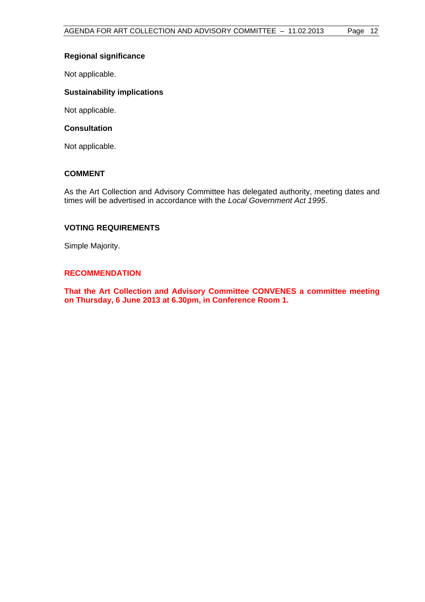## **Regional significance**

Not applicable.

## **Sustainability implications**

Not applicable.

### **Consultation**

Not applicable.

## **COMMENT**

As the Art Collection and Advisory Committee has delegated authority, meeting dates and times will be advertised in accordance with the *Local Government Act 1995*.

## **VOTING REQUIREMENTS**

Simple Majority.

## **RECOMMENDATION**

**That the Art Collection and Advisory Committee CONVENES a committee meeting on Thursday, 6 June 2013 at 6.30pm, in Conference Room 1.**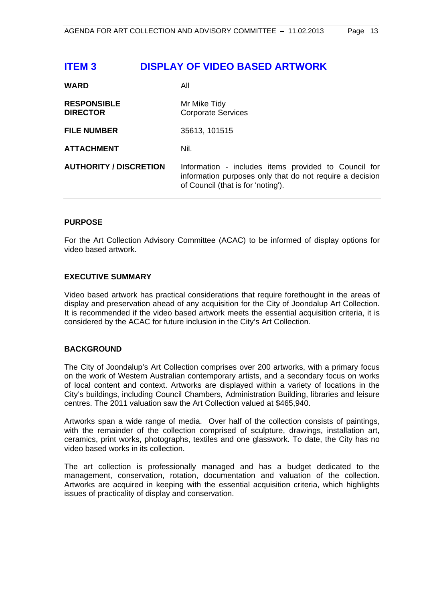## <span id="page-12-0"></span>**ITEM 3 DISPLAY OF VIDEO BASED ARTWORK**

| <b>WARD</b>                           | All                                                                                                                                                    |
|---------------------------------------|--------------------------------------------------------------------------------------------------------------------------------------------------------|
| <b>RESPONSIBLE</b><br><b>DIRECTOR</b> | Mr Mike Tidy<br><b>Corporate Services</b>                                                                                                              |
| <b>FILE NUMBER</b>                    | 35613, 101515                                                                                                                                          |
| <b>ATTACHMENT</b>                     | Nil.                                                                                                                                                   |
| <b>AUTHORITY / DISCRETION</b>         | Information - includes items provided to Council for<br>information purposes only that do not require a decision<br>of Council (that is for 'noting'). |

## **PURPOSE**

For the Art Collection Advisory Committee (ACAC) to be informed of display options for video based artwork.

## **EXECUTIVE SUMMARY**

Video based artwork has practical considerations that require forethought in the areas of display and preservation ahead of any acquisition for the City of Joondalup Art Collection. It is recommended if the video based artwork meets the essential acquisition criteria, it is considered by the ACAC for future inclusion in the City's Art Collection.

## **BACKGROUND**

The City of Joondalup's Art Collection comprises over 200 artworks, with a primary focus on the work of Western Australian contemporary artists, and a secondary focus on works of local content and context. Artworks are displayed within a variety of locations in the City's buildings, including Council Chambers, Administration Building, libraries and leisure centres. The 2011 valuation saw the Art Collection valued at \$465,940.

Artworks span a wide range of media. Over half of the collection consists of paintings, with the remainder of the collection comprised of sculpture, drawings, installation art, ceramics, print works, photographs, textiles and one glasswork. To date, the City has no video based works in its collection.

The art collection is professionally managed and has a budget dedicated to the management, conservation, rotation, documentation and valuation of the collection. Artworks are acquired in keeping with the essential acquisition criteria, which highlights issues of practicality of display and conservation.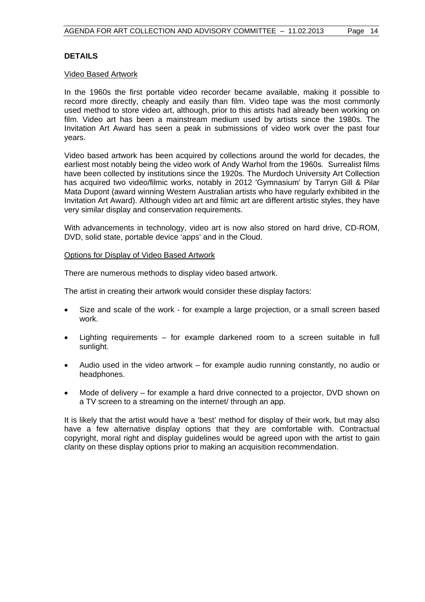## **DETAILS**

#### Video Based Artwork

In the 1960s the first portable video recorder became available, making it possible to record more directly, cheaply and easily than film. Video tape was the most commonly used method to store video art, although, prior to this artists had already been working on film. Video art has been a mainstream medium used by artists since the 1980s. The Invitation Art Award has seen a peak in submissions of video work over the past four years.

Video based artwork has been acquired by collections around the world for decades, the earliest most notably being the video work of Andy Warhol from the 1960s. Surrealist films have been collected by institutions since the 1920s. The Murdoch University Art Collection has acquired two video/filmic works, notably in 2012 'Gymnasium' by Tarryn Gill & Pilar Mata Dupont (award winning Western Australian artists who have regularly exhibited in the Invitation Art Award). Although video art and filmic art are different artistic styles, they have very similar display and conservation requirements.

With advancements in technology, video art is now also stored on hard drive, CD-ROM, DVD, solid state, portable device 'apps' and in the Cloud.

#### Options for Display of Video Based Artwork

There are numerous methods to display video based artwork.

The artist in creating their artwork would consider these display factors:

- Size and scale of the work for example a large projection, or a small screen based work.
- Lighting requirements for example darkened room to a screen suitable in full sunlight.
- Audio used in the video artwork for example audio running constantly, no audio or headphones.
- Mode of delivery for example a hard drive connected to a projector, DVD shown on a TV screen to a streaming on the internet/ through an app.

It is likely that the artist would have a 'best' method for display of their work, but may also have a few alternative display options that they are comfortable with. Contractual copyright, moral right and display guidelines would be agreed upon with the artist to gain clarity on these display options prior to making an acquisition recommendation.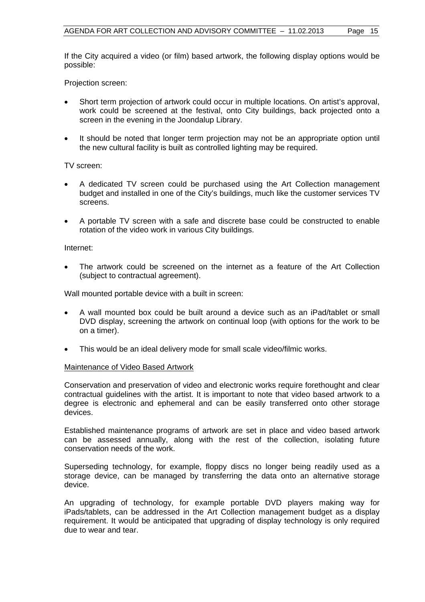If the City acquired a video (or film) based artwork, the following display options would be possible:

Projection screen:

- Short term projection of artwork could occur in multiple locations. On artist's approval, work could be screened at the festival, onto City buildings, back projected onto a screen in the evening in the Joondalup Library.
- It should be noted that longer term projection may not be an appropriate option until the new cultural facility is built as controlled lighting may be required.

#### TV screen:

- A dedicated TV screen could be purchased using the Art Collection management budget and installed in one of the City's buildings, much like the customer services TV screens.
- A portable TV screen with a safe and discrete base could be constructed to enable rotation of the video work in various City buildings.

#### Internet:

 The artwork could be screened on the internet as a feature of the Art Collection (subject to contractual agreement).

Wall mounted portable device with a built in screen:

- A wall mounted box could be built around a device such as an iPad/tablet or small DVD display, screening the artwork on continual loop (with options for the work to be on a timer).
- This would be an ideal delivery mode for small scale video/filmic works.

#### Maintenance of Video Based Artwork

Conservation and preservation of video and electronic works require forethought and clear contractual guidelines with the artist. It is important to note that video based artwork to a degree is electronic and ephemeral and can be easily transferred onto other storage devices.

Established maintenance programs of artwork are set in place and video based artwork can be assessed annually, along with the rest of the collection, isolating future conservation needs of the work.

Superseding technology, for example, floppy discs no longer being readily used as a storage device, can be managed by transferring the data onto an alternative storage device.

An upgrading of technology, for example portable DVD players making way for iPads/tablets, can be addressed in the Art Collection management budget as a display requirement. It would be anticipated that upgrading of display technology is only required due to wear and tear.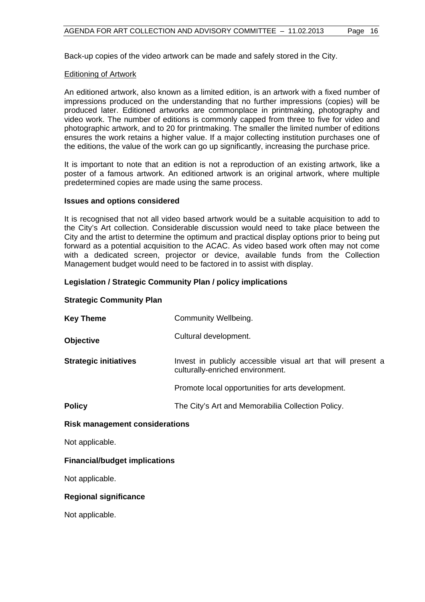Back-up copies of the video artwork can be made and safely stored in the City.

#### Editioning of Artwork

An editioned artwork, also known as a limited edition, is an artwork with a fixed number of impressions produced on the understanding that no further impressions (copies) will be produced later. Editioned artworks are commonplace in printmaking, photography and video work. The number of editions is commonly capped from three to five for video and photographic artwork, and to 20 for printmaking. The smaller the limited number of editions ensures the work retains a higher value. If a major collecting institution purchases one of the editions, the value of the work can go up significantly, increasing the purchase price.

It is important to note that an edition is not a reproduction of an existing artwork, like a poster of a famous artwork. An editioned artwork is an original artwork, where multiple predetermined copies are made using the same process.

#### **Issues and options considered**

It is recognised that not all video based artwork would be a suitable acquisition to add to the City's Art collection. Considerable discussion would need to take place between the City and the artist to determine the optimum and practical display options prior to being put forward as a potential acquisition to the ACAC. As video based work often may not come with a dedicated screen, projector or device, available funds from the Collection Management budget would need to be factored in to assist with display.

#### **Legislation / Strategic Community Plan / policy implications**

#### **Strategic Community Plan**

| <b>Key Theme</b>                      | Community Wellbeing.                                                                             |
|---------------------------------------|--------------------------------------------------------------------------------------------------|
| <b>Objective</b>                      | Cultural development.                                                                            |
| <b>Strategic initiatives</b>          | Invest in publicly accessible visual art that will present a<br>culturally-enriched environment. |
|                                       | Promote local opportunities for arts development.                                                |
| <b>Policy</b>                         | The City's Art and Memorabilia Collection Policy.                                                |
| <b>Risk management considerations</b> |                                                                                                  |
| Not applicable.                       |                                                                                                  |
| <b>Financial/budget implications</b>  |                                                                                                  |
| Not applicable.                       |                                                                                                  |

#### **Regional significance**

Not applicable.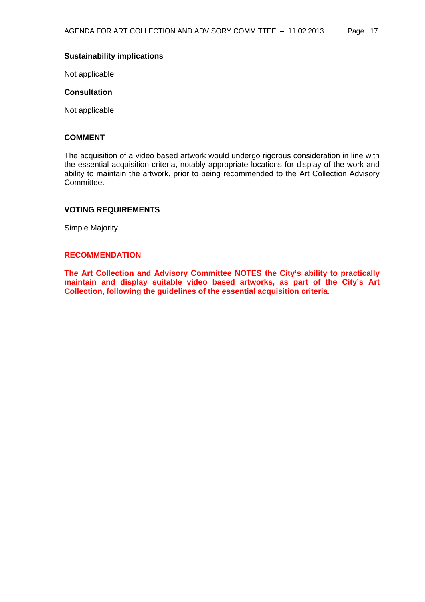### **Sustainability implications**

Not applicable.

#### **Consultation**

Not applicable.

## **COMMENT**

The acquisition of a video based artwork would undergo rigorous consideration in line with the essential acquisition criteria, notably appropriate locations for display of the work and ability to maintain the artwork, prior to being recommended to the Art Collection Advisory Committee.

## **VOTING REQUIREMENTS**

Simple Majority.

#### **RECOMMENDATION**

**The Art Collection and Advisory Committee NOTES the City's ability to practically maintain and display suitable video based artworks, as part of the City's Art Collection, following the guidelines of the essential acquisition criteria.**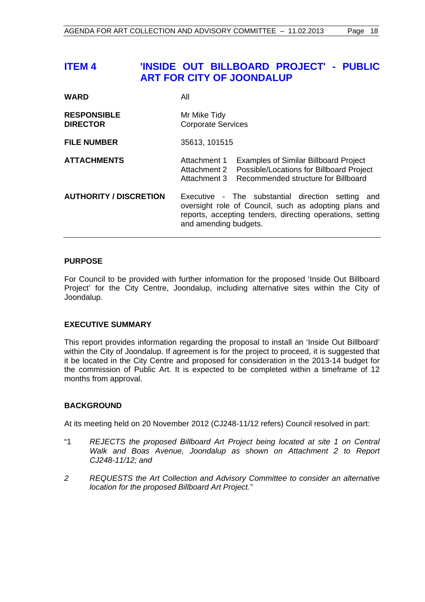## <span id="page-17-0"></span>**ITEM 4 'INSIDE OUT BILLBOARD PROJECT' - PUBLIC ART FOR CITY OF JOONDALUP**

| <b>WARD</b>                           | All                                                                                                                                                                                                 |  |
|---------------------------------------|-----------------------------------------------------------------------------------------------------------------------------------------------------------------------------------------------------|--|
| <b>RESPONSIBLE</b><br><b>DIRECTOR</b> | Mr Mike Tidy<br><b>Corporate Services</b>                                                                                                                                                           |  |
| <b>FILE NUMBER</b>                    | 35613, 101515                                                                                                                                                                                       |  |
| <b>ATTACHMENTS</b>                    | Attachment 1<br><b>Examples of Similar Billboard Project</b><br><b>Possible/Locations for Billboard Project</b><br>Attachment 2<br>Recommended structure for Billboard<br>Attachment 3              |  |
| <b>AUTHORITY / DISCRETION</b>         | Executive - The substantial direction setting<br>and<br>oversight role of Council, such as adopting plans and<br>reports, accepting tenders, directing operations, setting<br>and amending budgets. |  |

## **PURPOSE**

For Council to be provided with further information for the proposed 'Inside Out Billboard Project' for the City Centre, Joondalup, including alternative sites within the City of Joondalup.

## **EXECUTIVE SUMMARY**

This report provides information regarding the proposal to install an 'Inside Out Billboard' within the City of Joondalup. If agreement is for the project to proceed, it is suggested that it be located in the City Centre and proposed for consideration in the 2013-14 budget for the commission of Public Art. It is expected to be completed within a timeframe of 12 months from approval.

#### **BACKGROUND**

At its meeting held on 20 November 2012 (CJ248-11/12 refers) Council resolved in part:

- "1 *REJECTS the proposed Billboard Art Project being located at site 1 on Central Walk and Boas Avenue, Joondalup as shown on Attachment 2 to Report CJ248-11/12; and*
- *2 REQUESTS the Art Collection and Advisory Committee to consider an alternative location for the proposed Billboard Art Project."*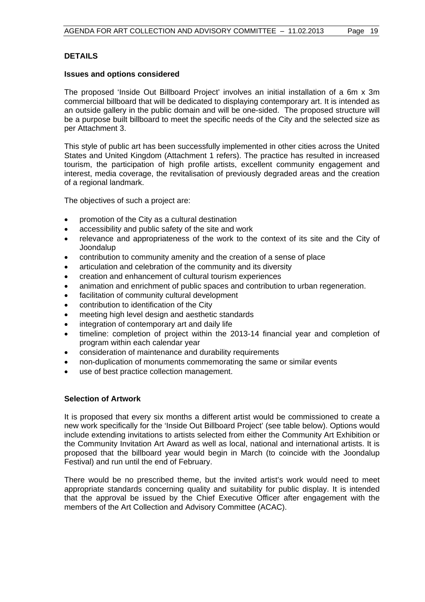## **DETAILS**

#### **Issues and options considered**

The proposed 'Inside Out Billboard Project' involves an initial installation of a 6m x 3m commercial billboard that will be dedicated to displaying contemporary art. It is intended as an outside gallery in the public domain and will be one-sided. The proposed structure will be a purpose built billboard to meet the specific needs of the City and the selected size as per Attachment 3.

This style of public art has been successfully implemented in other cities across the United States and United Kingdom (Attachment 1 refers). The practice has resulted in increased tourism, the participation of high profile artists, excellent community engagement and interest, media coverage, the revitalisation of previously degraded areas and the creation of a regional landmark.

The objectives of such a project are:

- promotion of the City as a cultural destination
- accessibility and public safety of the site and work
- relevance and appropriateness of the work to the context of its site and the City of Joondalup
- contribution to community amenity and the creation of a sense of place
- articulation and celebration of the community and its diversity
- creation and enhancement of cultural tourism experiences
- animation and enrichment of public spaces and contribution to urban regeneration.
- facilitation of community cultural development
- contribution to identification of the City
- meeting high level design and aesthetic standards
- integration of contemporary art and daily life
- timeline: completion of project within the 2013-14 financial year and completion of program within each calendar year
- consideration of maintenance and durability requirements
- non-duplication of monuments commemorating the same or similar events
- use of best practice collection management.

#### **Selection of Artwork**

It is proposed that every six months a different artist would be commissioned to create a new work specifically for the 'Inside Out Billboard Project' (see table below). Options would include extending invitations to artists selected from either the Community Art Exhibition or the Community Invitation Art Award as well as local, national and international artists. It is proposed that the billboard year would begin in March (to coincide with the Joondalup Festival) and run until the end of February.

There would be no prescribed theme, but the invited artist's work would need to meet appropriate standards concerning quality and suitability for public display. It is intended that the approval be issued by the Chief Executive Officer after engagement with the members of the Art Collection and Advisory Committee (ACAC).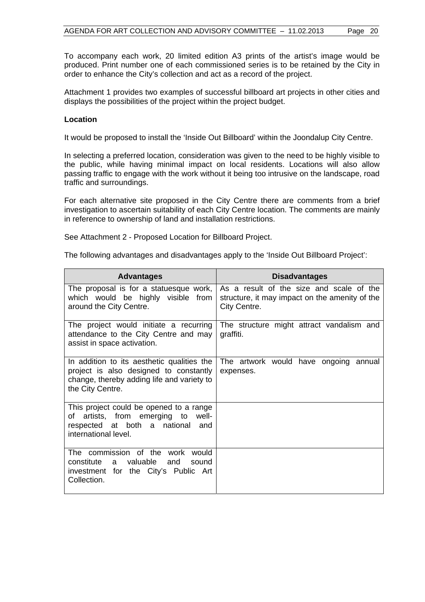To accompany each work, 20 limited edition A3 prints of the artist's image would be produced. Print number one of each commissioned series is to be retained by the City in order to enhance the City's collection and act as a record of the project.

Attachment 1 provides two examples of successful billboard art projects in other cities and displays the possibilities of the project within the project budget.

### **Location**

It would be proposed to install the 'Inside Out Billboard' within the Joondalup City Centre.

In selecting a preferred location, consideration was given to the need to be highly visible to the public, while having minimal impact on local residents. Locations will also allow passing traffic to engage with the work without it being too intrusive on the landscape, road traffic and surroundings.

For each alternative site proposed in the City Centre there are comments from a brief investigation to ascertain suitability of each City Centre location. The comments are mainly in reference to ownership of land and installation restrictions.

See Attachment 2 - Proposed Location for Billboard Project.

The following advantages and disadvantages apply to the 'Inside Out Billboard Project':

| <b>Advantages</b>                                                                                                                                      | <b>Disadvantages</b>                                                                                       |
|--------------------------------------------------------------------------------------------------------------------------------------------------------|------------------------------------------------------------------------------------------------------------|
| The proposal is for a statuesque work,<br>which would be highly visible from<br>around the City Centre.                                                | As a result of the size and scale of the<br>structure, it may impact on the amenity of the<br>City Centre. |
| The project would initiate a recurring<br>attendance to the City Centre and may<br>assist in space activation.                                         | The structure might attract vandalism and<br>graffiti.                                                     |
| In addition to its aesthetic qualities the<br>project is also designed to constantly<br>change, thereby adding life and variety to<br>the City Centre. | The artwork would have ongoing annual<br>expenses.                                                         |
| This project could be opened to a range<br>artists, from emerging to well-<br>of<br>respected at both a national<br>and<br>international level.        |                                                                                                            |
| The commission of the<br>work<br>would<br>constitute<br>valuable<br>a<br>and<br>sound<br>investment for the City's Public Art<br>Collection.           |                                                                                                            |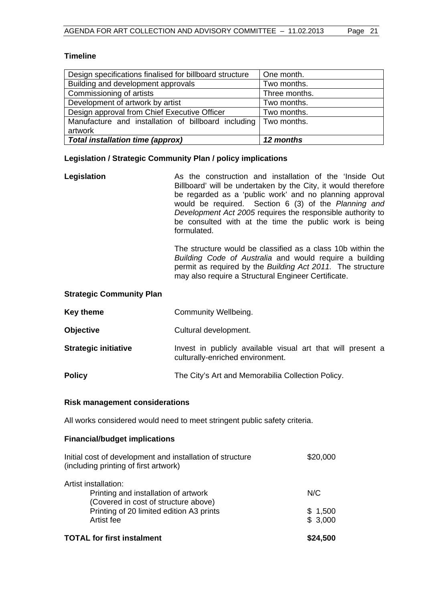#### **Timeline**

| Design specifications finalised for billboard structure         | One month.    |
|-----------------------------------------------------------------|---------------|
| Building and development approvals                              | Two months.   |
| Commissioning of artists                                        | Three months. |
| Development of artwork by artist                                | Two months.   |
| Design approval from Chief Executive Officer                    | Two months.   |
| Manufacture and installation of billboard including Two months. |               |
| artwork                                                         |               |
| <b>Total installation time (approx)</b>                         | 12 months     |

#### **Legislation / Strategic Community Plan / policy implications**

**Legislation As the construction and installation of the 'Inside Out** Billboard' will be undertaken by the City, it would therefore be regarded as a 'public work' and no planning approval would be required. Section 6 (3) of the *Planning and Development Act 2005* requires the responsible authority to be consulted with at the time the public work is being formulated.

> The structure would be classified as a class 10b within the *Building Code of Australia* and would require a building permit as required by the *Building Act 2011.* The structure may also require a Structural Engineer Certificate.

#### **Strategic Community Plan**

| <b>Key theme</b> | <b>Community Wellbeing.</b> |
|------------------|-----------------------------|
|------------------|-----------------------------|

- **Objective Cultural development.**
- **Strategic initiative Invest** in publicly available visual art that will present a culturally-enriched environment.
- **Policy The City's Art and Memorabilia Collection Policy.**

#### **Risk management considerations**

All works considered would need to meet stringent public safety criteria.

#### **Financial/budget implications**

| <b>TOTAL for first instalment</b>                                                                  | \$24,500 |
|----------------------------------------------------------------------------------------------------|----------|
| Artist fee                                                                                         | \$3,000  |
| (Covered in cost of structure above)<br>Printing of 20 limited edition A3 prints                   | \$1,500  |
| Printing and installation of artwork                                                               | N/C      |
| Artist installation:                                                                               |          |
| Initial cost of development and installation of structure<br>(including printing of first artwork) | \$20,000 |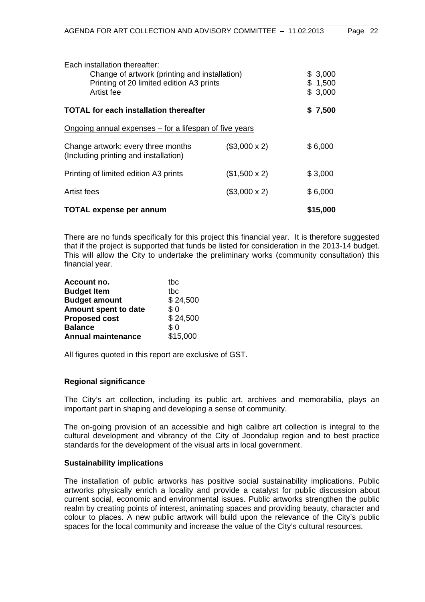| Each installation thereafter:<br>Change of artwork (printing and installation)<br>Printing of 20 limited edition A3 prints<br>Artist fee |                     | \$3,000<br>\$1,500<br>\$3,000 |
|------------------------------------------------------------------------------------------------------------------------------------------|---------------------|-------------------------------|
| TOTAL for each installation thereafter                                                                                                   |                     | \$7,500                       |
| Ongoing annual expenses – for a lifespan of five years                                                                                   |                     |                               |
| Change artwork: every three months<br>(Including printing and installation)                                                              | $($3,000 \times 2)$ | \$6,000                       |
| Printing of limited edition A3 prints                                                                                                    | $($1,500 \times 2)$ | \$3,000                       |
| Artist fees                                                                                                                              | $($3,000 \times 2)$ | \$6,000                       |
| <b>TOTAL expense per annum</b>                                                                                                           |                     | \$15,000                      |

There are no funds specifically for this project this financial year. It is therefore suggested that if the project is supported that funds be listed for consideration in the 2013-14 budget. This will allow the City to undertake the preliminary works (community consultation) this financial year.

| Account no.               | thc      |
|---------------------------|----------|
| <b>Budget Item</b>        | thc      |
| <b>Budget amount</b>      | \$24,500 |
| Amount spent to date      | \$0      |
| <b>Proposed cost</b>      | \$24,500 |
| <b>Balance</b>            | \$0      |
| <b>Annual maintenance</b> | \$15,000 |

All figures quoted in this report are exclusive of GST.

#### **Regional significance**

The City's art collection, including its public art, archives and memorabilia, plays an important part in shaping and developing a sense of community.

The on-going provision of an accessible and high calibre art collection is integral to the cultural development and vibrancy of the City of Joondalup region and to best practice standards for the development of the visual arts in local government.

#### **Sustainability implications**

The installation of public artworks has positive social sustainability implications. Public artworks physically enrich a locality and provide a catalyst for public discussion about current social, economic and environmental issues. Public artworks strengthen the public realm by creating points of interest, animating spaces and providing beauty, character and colour to places. A new public artwork will build upon the relevance of the City's public spaces for the local community and increase the value of the City's cultural resources.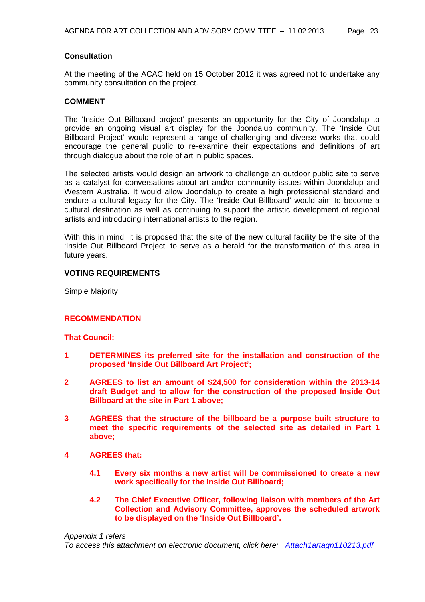#### **Consultation**

At the meeting of the ACAC held on 15 October 2012 it was agreed not to undertake any community consultation on the project.

### **COMMENT**

The 'Inside Out Billboard project' presents an opportunity for the City of Joondalup to provide an ongoing visual art display for the Joondalup community. The 'Inside Out Billboard Project' would represent a range of challenging and diverse works that could encourage the general public to re-examine their expectations and definitions of art through dialogue about the role of art in public spaces.

The selected artists would design an artwork to challenge an outdoor public site to serve as a catalyst for conversations about art and/or community issues within Joondalup and Western Australia. It would allow Joondalup to create a high professional standard and endure a cultural legacy for the City. The 'Inside Out Billboard' would aim to become a cultural destination as well as continuing to support the artistic development of regional artists and introducing international artists to the region.

With this in mind, it is proposed that the site of the new cultural facility be the site of the 'Inside Out Billboard Project' to serve as a herald for the transformation of this area in future years.

#### **VOTING REQUIREMENTS**

Simple Majority.

#### **RECOMMENDATION**

#### **That Council:**

- **1 DETERMINES its preferred site for the installation and construction of the proposed 'Inside Out Billboard Art Project';**
- **2 AGREES to list an amount of \$24,500 for consideration within the 2013-14 draft Budget and to allow for the construction of the proposed Inside Out Billboard at the site in Part 1 above;**
- **3 AGREES that the structure of the billboard be a purpose built structure to meet the specific requirements of the selected site as detailed in Part 1 above;**
- **4 AGREES that:** 
	- **4.1 Every six months a new artist will be commissioned to create a new work specifically for the Inside Out Billboard;**
	- **4.2 The Chief Executive Officer, following liaison with members of the Art Collection and Advisory Committee, approves the scheduled artwork to be displayed on the 'Inside Out Billboard'.**

#### *Appendix 1 refers*

*To access this attachment on electronic document, click here:<Attach1artagn110213.pdf>*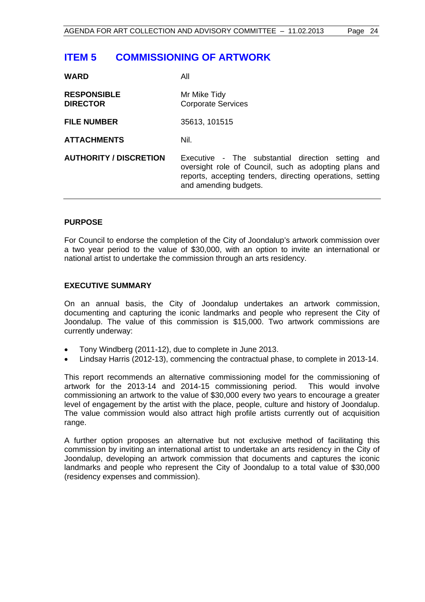## <span id="page-23-0"></span>**ITEM 5 COMMISSIONING OF ARTWORK**

| <b>WARD</b>                           | All                                                                                                                                                                                              |
|---------------------------------------|--------------------------------------------------------------------------------------------------------------------------------------------------------------------------------------------------|
| <b>RESPONSIBLE</b><br><b>DIRECTOR</b> | Mr Mike Tidy<br><b>Corporate Services</b>                                                                                                                                                        |
| <b>FILE NUMBER</b>                    | 35613, 101515                                                                                                                                                                                    |
| <b>ATTACHMENTS</b>                    | Nil.                                                                                                                                                                                             |
| <b>AUTHORITY / DISCRETION</b>         | Executive - The substantial direction setting and<br>oversight role of Council, such as adopting plans and<br>reports, accepting tenders, directing operations, setting<br>and amending budgets. |

#### **PURPOSE**

**14/4 DD** 

For Council to endorse the completion of the City of Joondalup's artwork commission over a two year period to the value of \$30,000, with an option to invite an international or national artist to undertake the commission through an arts residency.

## **EXECUTIVE SUMMARY**

On an annual basis, the City of Joondalup undertakes an artwork commission, documenting and capturing the iconic landmarks and people who represent the City of Joondalup. The value of this commission is \$15,000. Two artwork commissions are currently underway:

- Tony Windberg (2011-12), due to complete in June 2013.
- Lindsay Harris (2012-13), commencing the contractual phase, to complete in 2013-14.

This report recommends an alternative commissioning model for the commissioning of artwork for the 2013-14 and 2014-15 commissioning period. This would involve commissioning an artwork to the value of \$30,000 every two years to encourage a greater level of engagement by the artist with the place, people, culture and history of Joondalup. The value commission would also attract high profile artists currently out of acquisition range.

A further option proposes an alternative but not exclusive method of facilitating this commission by inviting an international artist to undertake an arts residency in the City of Joondalup, developing an artwork commission that documents and captures the iconic landmarks and people who represent the City of Joondalup to a total value of \$30,000 (residency expenses and commission).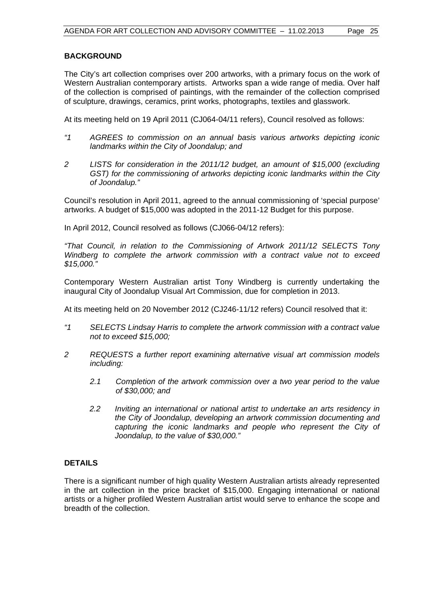### **BACKGROUND**

The City's art collection comprises over 200 artworks, with a primary focus on the work of Western Australian contemporary artists. Artworks span a wide range of media. Over half of the collection is comprised of paintings, with the remainder of the collection comprised of sculpture, drawings, ceramics, print works, photographs, textiles and glasswork.

At its meeting held on 19 April 2011 (CJ064-04/11 refers), Council resolved as follows:

- *"1 AGREES to commission on an annual basis various artworks depicting iconic landmarks within the City of Joondalup; and*
- *2 LISTS for consideration in the 2011/12 budget, an amount of \$15,000 (excluding GST) for the commissioning of artworks depicting iconic landmarks within the City of Joondalup."*

Council's resolution in April 2011, agreed to the annual commissioning of 'special purpose' artworks. A budget of \$15,000 was adopted in the 2011-12 Budget for this purpose.

In April 2012, Council resolved as follows (CJ066-04/12 refers):

*"That Council, in relation to the Commissioning of Artwork 2011/12 SELECTS Tony Windberg to complete the artwork commission with a contract value not to exceed \$15,000."* 

Contemporary Western Australian artist Tony Windberg is currently undertaking the inaugural City of Joondalup Visual Art Commission, due for completion in 2013.

At its meeting held on 20 November 2012 (CJ246-11/12 refers) Council resolved that it:

- *"1 SELECTS Lindsay Harris to complete the artwork commission with a contract value not to exceed \$15,000;*
- *2 REQUESTS a further report examining alternative visual art commission models including:* 
	- *2.1 Completion of the artwork commission over a two year period to the value of \$30,000; and*
	- *2.2 Inviting an international or national artist to undertake an arts residency in the City of Joondalup, developing an artwork commission documenting and capturing the iconic landmarks and people who represent the City of Joondalup, to the value of \$30,000."*

#### **DETAILS**

There is a significant number of high quality Western Australian artists already represented in the art collection in the price bracket of \$15,000. Engaging international or national artists or a higher profiled Western Australian artist would serve to enhance the scope and breadth of the collection.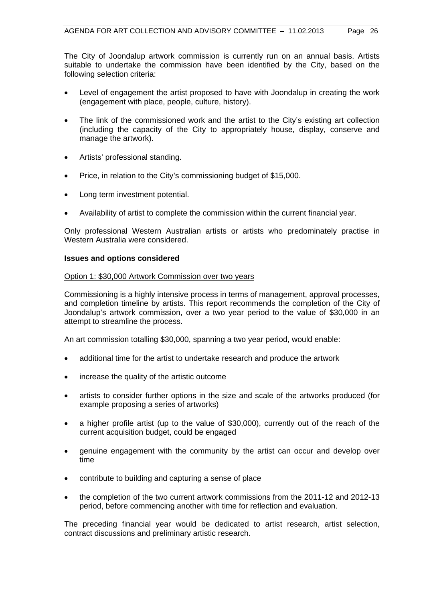The City of Joondalup artwork commission is currently run on an annual basis. Artists suitable to undertake the commission have been identified by the City, based on the following selection criteria:

- Level of engagement the artist proposed to have with Joondalup in creating the work (engagement with place, people, culture, history).
- The link of the commissioned work and the artist to the City's existing art collection (including the capacity of the City to appropriately house, display, conserve and manage the artwork).
- Artists' professional standing.
- Price, in relation to the City's commissioning budget of \$15,000.
- Long term investment potential.
- Availability of artist to complete the commission within the current financial year.

Only professional Western Australian artists or artists who predominately practise in Western Australia were considered.

#### **Issues and options considered**

#### Option 1: \$30,000 Artwork Commission over two years

Commissioning is a highly intensive process in terms of management, approval processes, and completion timeline by artists. This report recommends the completion of the City of Joondalup's artwork commission, over a two year period to the value of \$30,000 in an attempt to streamline the process.

An art commission totalling \$30,000, spanning a two year period, would enable:

- additional time for the artist to undertake research and produce the artwork
- increase the quality of the artistic outcome
- artists to consider further options in the size and scale of the artworks produced (for example proposing a series of artworks)
- a higher profile artist (up to the value of \$30,000), currently out of the reach of the current acquisition budget, could be engaged
- genuine engagement with the community by the artist can occur and develop over time
- contribute to building and capturing a sense of place
- the completion of the two current artwork commissions from the 2011-12 and 2012-13 period, before commencing another with time for reflection and evaluation.

The preceding financial year would be dedicated to artist research, artist selection, contract discussions and preliminary artistic research.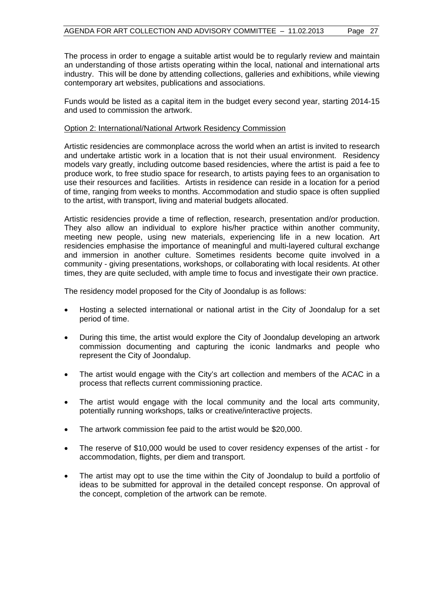The process in order to engage a suitable artist would be to regularly review and maintain an understanding of those artists operating within the local, national and international arts industry. This will be done by attending collections, galleries and exhibitions, while viewing contemporary art websites, publications and associations.

Funds would be listed as a capital item in the budget every second year, starting 2014-15 and used to commission the artwork.

#### Option 2: International/National Artwork Residency Commission

Artistic residencies are commonplace across the world when an artist is invited to research and undertake artistic work in a location that is not their usual environment. Residency models vary greatly, including outcome based residencies, where the artist is paid a fee to produce work, to free studio space for research, to artists paying fees to an organisation to use their resources and facilities. Artists in residence can reside in a location for a period of time, ranging from weeks to months. Accommodation and studio space is often supplied to the artist, with transport, living and material budgets allocated.

Artistic residencies provide a time of reflection, research, presentation and/or production. They also allow an individual to explore his/her practice within another community, meeting new people, using new materials, experiencing life in a new location. Art residencies emphasise the importance of meaningful and multi-layered cultural exchange and immersion in another culture. Sometimes residents become quite involved in a community - giving presentations, workshops, or collaborating with local residents. At other times, they are quite secluded, with ample time to focus and investigate their own practice.

The residency model proposed for the City of Joondalup is as follows:

- Hosting a selected international or national artist in the City of Joondalup for a set period of time.
- During this time, the artist would explore the City of Joondalup developing an artwork commission documenting and capturing the iconic landmarks and people who represent the City of Joondalup.
- The artist would engage with the City's art collection and members of the ACAC in a process that reflects current commissioning practice.
- The artist would engage with the local community and the local arts community, potentially running workshops, talks or creative/interactive projects.
- The artwork commission fee paid to the artist would be \$20,000.
- The reserve of \$10,000 would be used to cover residency expenses of the artist for accommodation, flights, per diem and transport.
- The artist may opt to use the time within the City of Joondalup to build a portfolio of ideas to be submitted for approval in the detailed concept response. On approval of the concept, completion of the artwork can be remote.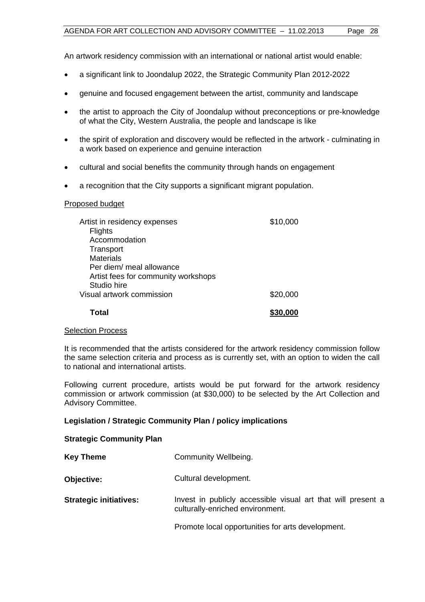An artwork residency commission with an international or national artist would enable:

- a significant link to Joondalup 2022, the Strategic Community Plan 2012-2022
- genuine and focused engagement between the artist, community and landscape
- the artist to approach the City of Joondalup without preconceptions or pre-knowledge of what the City, Western Australia, the people and landscape is like
- the spirit of exploration and discovery would be reflected in the artwork culminating in a work based on experience and genuine interaction
- cultural and social benefits the community through hands on engagement
- a recognition that the City supports a significant migrant population.

## Proposed budget

| Artist in residency expenses        | \$10,000 |
|-------------------------------------|----------|
| <b>Flights</b>                      |          |
| Accommodation                       |          |
| Transport                           |          |
| <b>Materials</b>                    |          |
| Per diem/ meal allowance            |          |
| Artist fees for community workshops |          |
| Studio hire                         |          |
| Visual artwork commission           | \$20,000 |
| Total                               | \$30,000 |

## Selection Process

It is recommended that the artists considered for the artwork residency commission follow the same selection criteria and process as is currently set, with an option to widen the call to national and international artists.

Following current procedure, artists would be put forward for the artwork residency commission or artwork commission (at \$30,000) to be selected by the Art Collection and Advisory Committee.

## **Legislation / Strategic Community Plan / policy implications**

## **Strategic Community Plan**

| <b>Key Theme</b>              | Community Wellbeing.                                                                             |
|-------------------------------|--------------------------------------------------------------------------------------------------|
| Objective:                    | Cultural development.                                                                            |
| <b>Strategic initiatives:</b> | Invest in publicly accessible visual art that will present a<br>culturally-enriched environment. |
|                               | Promote local opportunities for arts development.                                                |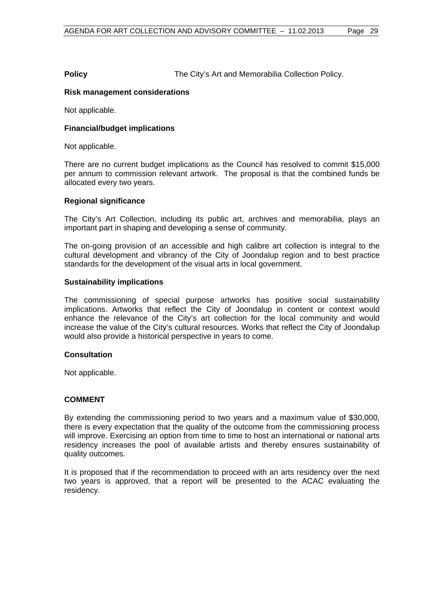**Policy The City's Art and Memorabilia Collection Policy.** 

## **Risk management considerations**

Not applicable.

## **Financial/budget implications**

Not applicable.

There are no current budget implications as the Council has resolved to commit \$15,000 per annum to commission relevant artwork. The proposal is that the combined funds be allocated every two years.

## **Regional significance**

The City's Art Collection, including its public art, archives and memorabilia, plays an important part in shaping and developing a sense of community.

The on-going provision of an accessible and high calibre art collection is integral to the cultural development and vibrancy of the City of Joondalup region and to best practice standards for the development of the visual arts in local government.

#### **Sustainability implications**

The commissioning of special purpose artworks has positive social sustainability implications. Artworks that reflect the City of Joondalup in content or context would enhance the relevance of the City's art collection for the local community and would increase the value of the City's cultural resources. Works that reflect the City of Joondalup would also provide a historical perspective in years to come.

#### **Consultation**

Not applicable.

## **COMMENT**

By extending the commissioning period to two years and a maximum value of \$30,000, there is every expectation that the quality of the outcome from the commissioning process will improve. Exercising an option from time to time to host an international or national arts residency increases the pool of available artists and thereby ensures sustainability of quality outcomes.

It is proposed that if the recommendation to proceed with an arts residency over the next two years is approved, that a report will be presented to the ACAC evaluating the residency.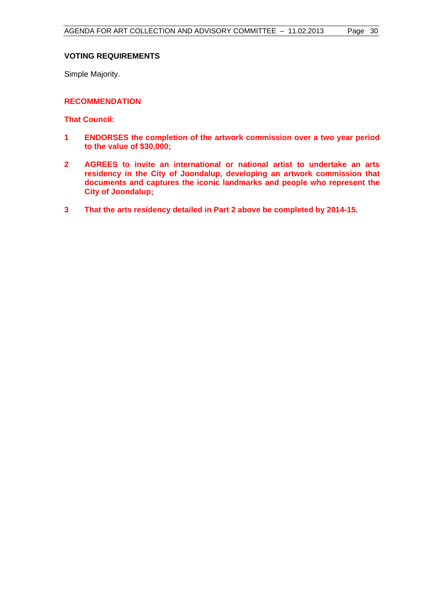## **VOTING REQUIREMENTS**

Simple Majority.

## **RECOMMENDATION**

**That Council:** 

- **1 ENDORSES the completion of the artwork commission over a two year period to the value of \$30,000;**
- **2 AGREES to invite an international or national artist to undertake an arts residency in the City of Joondalup, developing an artwork commission that documents and captures the iconic landmarks and people who represent the City of Joondalup;**
- **3 That the arts residency detailed in Part 2 above be completed by 2014-15.**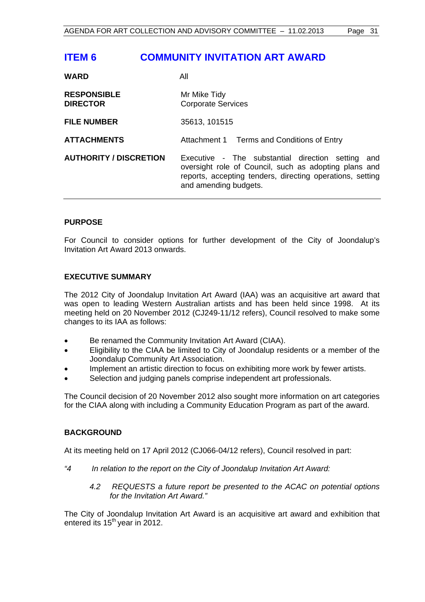## <span id="page-30-0"></span>**ITEM 6 COMMUNITY INVITATION ART AWARD**

| <b>WARD</b>                           | All                                                                                                                                                                                                 |
|---------------------------------------|-----------------------------------------------------------------------------------------------------------------------------------------------------------------------------------------------------|
| <b>RESPONSIBLE</b><br><b>DIRECTOR</b> | Mr Mike Tidy<br><b>Corporate Services</b>                                                                                                                                                           |
| <b>FILE NUMBER</b>                    | 35613, 101515                                                                                                                                                                                       |
| <b>ATTACHMENTS</b>                    | Attachment 1 Terms and Conditions of Entry                                                                                                                                                          |
| <b>AUTHORITY / DISCRETION</b>         | Executive - The substantial direction setting<br>and<br>oversight role of Council, such as adopting plans and<br>reports, accepting tenders, directing operations, setting<br>and amending budgets. |

## **PURPOSE**

**MADD** 

For Council to consider options for further development of the City of Joondalup's Invitation Art Award 2013 onwards.

## **EXECUTIVE SUMMARY**

The 2012 City of Joondalup Invitation Art Award (IAA) was an acquisitive art award that was open to leading Western Australian artists and has been held since 1998. At its meeting held on 20 November 2012 (CJ249-11/12 refers), Council resolved to make some changes to its IAA as follows:

- Be renamed the Community Invitation Art Award (CIAA).
- Eligibility to the CIAA be limited to City of Joondalup residents or a member of the Joondalup Community Art Association.
- Implement an artistic direction to focus on exhibiting more work by fewer artists.
- Selection and judging panels comprise independent art professionals.

The Council decision of 20 November 2012 also sought more information on art categories for the CIAA along with including a Community Education Program as part of the award.

#### **BACKGROUND**

At its meeting held on 17 April 2012 (CJ066-04/12 refers), Council resolved in part:

- *"4 In relation to the report on the City of Joondalup Invitation Art Award:* 
	- *4.2 REQUESTS a future report be presented to the ACAC on potential options for the Invitation Art Award."*

The City of Joondalup Invitation Art Award is an acquisitive art award and exhibition that entered its  $15<sup>th</sup>$  year in 2012.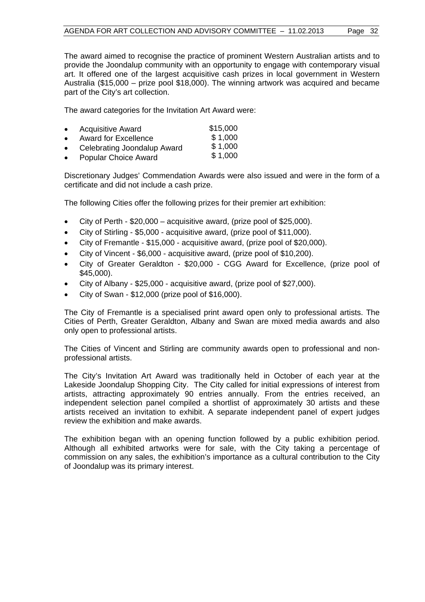The award aimed to recognise the practice of prominent Western Australian artists and to provide the Joondalup community with an opportunity to engage with contemporary visual art. It offered one of the largest acquisitive cash prizes in local government in Western Australia (\$15,000 – prize pool \$18,000). The winning artwork was acquired and became part of the City's art collection.

The award categories for the Invitation Art Award were:

| $\bullet$ | <b>Acquisitive Award</b>    | \$15,000 |
|-----------|-----------------------------|----------|
| $\bullet$ | <b>Award for Excellence</b> | \$1,000  |
| $\bullet$ | Celebrating Joondalup Award | \$1,000  |
|           |                             | 0.400    |

 Popular Choice Award \$ 1,000

Discretionary Judges' Commendation Awards were also issued and were in the form of a certificate and did not include a cash prize.

The following Cities offer the following prizes for their premier art exhibition:

- $\bullet$  City of Perth \$20,000 acquisitive award, (prize pool of \$25,000).
- City of Stirling \$5,000 acquisitive award, (prize pool of \$11,000).
- City of Fremantle \$15,000 acquisitive award, (prize pool of \$20,000).
- City of Vincent \$6,000 acquisitive award, (prize pool of \$10,200).
- City of Greater Geraldton \$20,000 CGG Award for Excellence, (prize pool of \$45,000).
- City of Albany \$25,000 acquisitive award, (prize pool of \$27,000).
- City of Swan \$12,000 (prize pool of \$16,000).

The City of Fremantle is a specialised print award open only to professional artists. The Cities of Perth, Greater Geraldton, Albany and Swan are mixed media awards and also only open to professional artists.

The Cities of Vincent and Stirling are community awards open to professional and nonprofessional artists.

The City's Invitation Art Award was traditionally held in October of each year at the Lakeside Joondalup Shopping City. The City called for initial expressions of interest from artists, attracting approximately 90 entries annually. From the entries received, an independent selection panel compiled a shortlist of approximately 30 artists and these artists received an invitation to exhibit. A separate independent panel of expert judges review the exhibition and make awards.

The exhibition began with an opening function followed by a public exhibition period. Although all exhibited artworks were for sale, with the City taking a percentage of commission on any sales, the exhibition's importance as a cultural contribution to the City of Joondalup was its primary interest.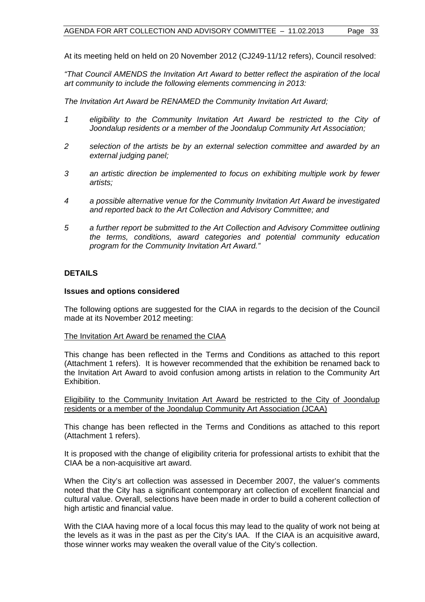At its meeting held on held on 20 November 2012 (CJ249-11/12 refers), Council resolved:

*"That Council AMENDS the Invitation Art Award to better reflect the aspiration of the local art community to include the following elements commencing in 2013:* 

*The Invitation Art Award be RENAMED the Community Invitation Art Award;* 

- *1 eligibility to the Community Invitation Art Award be restricted to the City of Joondalup residents or a member of the Joondalup Community Art Association;*
- *2 selection of the artists be by an external selection committee and awarded by an external judging panel;*
- *3 an artistic direction be implemented to focus on exhibiting multiple work by fewer artists;*
- *4 a possible alternative venue for the Community Invitation Art Award be investigated and reported back to the Art Collection and Advisory Committee; and*
- *5 a further report be submitted to the Art Collection and Advisory Committee outlining the terms, conditions, award categories and potential community education program for the Community Invitation Art Award."*

## **DETAILS**

#### **Issues and options considered**

The following options are suggested for the CIAA in regards to the decision of the Council made at its November 2012 meeting:

#### The Invitation Art Award be renamed the CIAA

This change has been reflected in the Terms and Conditions as attached to this report (Attachment 1 refers). It is however recommended that the exhibition be renamed back to the Invitation Art Award to avoid confusion among artists in relation to the Community Art Exhibition.

Eligibility to the Community Invitation Art Award be restricted to the City of Joondalup residents or a member of the Joondalup Community Art Association (JCAA)

This change has been reflected in the Terms and Conditions as attached to this report (Attachment 1 refers).

It is proposed with the change of eligibility criteria for professional artists to exhibit that the CIAA be a non-acquisitive art award.

When the City's art collection was assessed in December 2007, the valuer's comments noted that the City has a significant contemporary art collection of excellent financial and cultural value. Overall, selections have been made in order to build a coherent collection of high artistic and financial value.

With the CIAA having more of a local focus this may lead to the quality of work not being at the levels as it was in the past as per the City's IAA. If the CIAA is an acquisitive award, those winner works may weaken the overall value of the City's collection.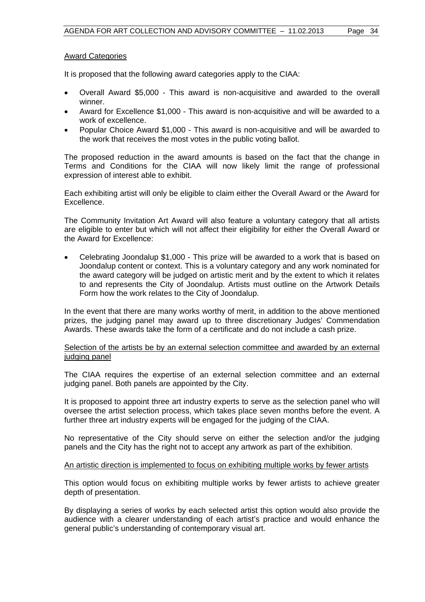#### Award Categories

It is proposed that the following award categories apply to the CIAA:

- Overall Award \$5,000 This award is non-acquisitive and awarded to the overall winner.
- Award for Excellence \$1,000 This award is non-acquisitive and will be awarded to a work of excellence.
- Popular Choice Award \$1,000 This award is non-acquisitive and will be awarded to the work that receives the most votes in the public voting ballot.

The proposed reduction in the award amounts is based on the fact that the change in Terms and Conditions for the CIAA will now likely limit the range of professional expression of interest able to exhibit.

Each exhibiting artist will only be eligible to claim either the Overall Award or the Award for Excellence.

The Community Invitation Art Award will also feature a voluntary category that all artists are eligible to enter but which will not affect their eligibility for either the Overall Award or the Award for Excellence:

 Celebrating Joondalup \$1,000 - This prize will be awarded to a work that is based on Joondalup content or context. This is a voluntary category and any work nominated for the award category will be judged on artistic merit and by the extent to which it relates to and represents the City of Joondalup. Artists must outline on the Artwork Details Form how the work relates to the City of Joondalup.

In the event that there are many works worthy of merit, in addition to the above mentioned prizes, the judging panel may award up to three discretionary Judges' Commendation Awards. These awards take the form of a certificate and do not include a cash prize.

#### Selection of the artists be by an external selection committee and awarded by an external judging panel

The CIAA requires the expertise of an external selection committee and an external judging panel. Both panels are appointed by the City.

It is proposed to appoint three art industry experts to serve as the selection panel who will oversee the artist selection process, which takes place seven months before the event. A further three art industry experts will be engaged for the judging of the CIAA.

No representative of the City should serve on either the selection and/or the judging panels and the City has the right not to accept any artwork as part of the exhibition.

#### An artistic direction is implemented to focus on exhibiting multiple works by fewer artists

This option would focus on exhibiting multiple works by fewer artists to achieve greater depth of presentation.

By displaying a series of works by each selected artist this option would also provide the audience with a clearer understanding of each artist's practice and would enhance the general public's understanding of contemporary visual art.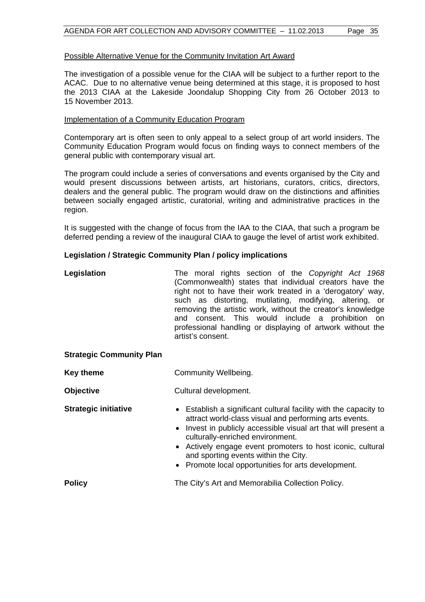#### Possible Alternative Venue for the Community Invitation Art Award

The investigation of a possible venue for the CIAA will be subject to a further report to the ACAC. Due to no alternative venue being determined at this stage, it is proposed to host the 2013 CIAA at the Lakeside Joondalup Shopping City from 26 October 2013 to 15 November 2013.

#### Implementation of a Community Education Program

Contemporary art is often seen to only appeal to a select group of art world insiders. The Community Education Program would focus on finding ways to connect members of the general public with contemporary visual art.

The program could include a series of conversations and events organised by the City and would present discussions between artists, art historians, curators, critics, directors, dealers and the general public. The program would draw on the distinctions and affinities between socially engaged artistic, curatorial, writing and administrative practices in the region.

It is suggested with the change of focus from the IAA to the CIAA, that such a program be deferred pending a review of the inaugural CIAA to gauge the level of artist work exhibited.

#### **Legislation / Strategic Community Plan / policy implications**

| Legislation                     | The moral rights section of the Copyright Act 1968<br>(Commonwealth) states that individual creators have the<br>right not to have their work treated in a 'derogatory' way,<br>such as distorting, mutilating, modifying, altering, or<br>removing the artistic work, without the creator's knowledge<br>and consent. This would include a prohibition on<br>professional handling or displaying of artwork without the<br>artist's consent. |  |
|---------------------------------|-----------------------------------------------------------------------------------------------------------------------------------------------------------------------------------------------------------------------------------------------------------------------------------------------------------------------------------------------------------------------------------------------------------------------------------------------|--|
| <b>Strategic Community Plan</b> |                                                                                                                                                                                                                                                                                                                                                                                                                                               |  |
| <b>Key theme</b>                | Community Wellbeing.                                                                                                                                                                                                                                                                                                                                                                                                                          |  |
| <b>Objective</b>                | Cultural development.                                                                                                                                                                                                                                                                                                                                                                                                                         |  |
| <b>Strategic initiative</b>     | • Establish a significant cultural facility with the capacity to<br>attract world-class visual and performing arts events.<br>Invest in publicly accessible visual art that will present a<br>culturally-enriched environment.<br>• Actively engage event promoters to host iconic, cultural<br>and sporting events within the City.<br>• Promote local opportunities for arts development.                                                   |  |
| <b>Policy</b>                   | The City's Art and Memorabilia Collection Policy.                                                                                                                                                                                                                                                                                                                                                                                             |  |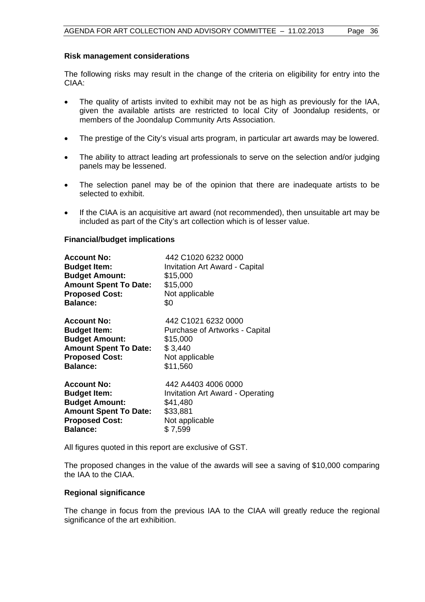#### **Risk management considerations**

The following risks may result in the change of the criteria on eligibility for entry into the CIAA:

- The quality of artists invited to exhibit may not be as high as previously for the IAA, given the available artists are restricted to local City of Joondalup residents, or members of the Joondalup Community Arts Association.
- The prestige of the City's visual arts program, in particular art awards may be lowered.
- The ability to attract leading art professionals to serve on the selection and/or judging panels may be lessened.
- The selection panel may be of the opinion that there are inadequate artists to be selected to exhibit.
- If the CIAA is an acquisitive art award (not recommended), then unsuitable art may be included as part of the City's art collection which is of lesser value.

#### **Financial/budget implications**

| <b>Account No:</b>           | 442 C1020 6232 0000                   |
|------------------------------|---------------------------------------|
| <b>Budget Item:</b>          | <b>Invitation Art Award - Capital</b> |
| <b>Budget Amount:</b>        | \$15,000                              |
| <b>Amount Spent To Date:</b> | \$15,000                              |
| <b>Proposed Cost:</b>        | Not applicable                        |
| <b>Balance:</b>              | \$0                                   |
| <b>Account No:</b>           | 442 C1021 6232 0000                   |
| <b>Budget Item:</b>          | Purchase of Artworks - Capital        |
| <b>Budget Amount:</b>        | \$15,000                              |
| <b>Amount Spent To Date:</b> | \$3,440                               |
| <b>Proposed Cost:</b>        | Not applicable                        |
| <b>Balance:</b>              | \$11,560                              |
| <b>Account No:</b>           | 442 A4403 4006 0000                   |
| <b>Budget Item:</b>          | Invitation Art Award - Operating      |
| <b>Budget Amount:</b>        | \$41,480                              |
| <b>Amount Spent To Date:</b> | \$33,881                              |
| <b>Proposed Cost:</b>        | Not applicable                        |
| <b>Balance:</b>              | \$7,599                               |

All figures quoted in this report are exclusive of GST.

The proposed changes in the value of the awards will see a saving of \$10,000 comparing the IAA to the CIAA.

#### **Regional significance**

The change in focus from the previous IAA to the CIAA will greatly reduce the regional significance of the art exhibition.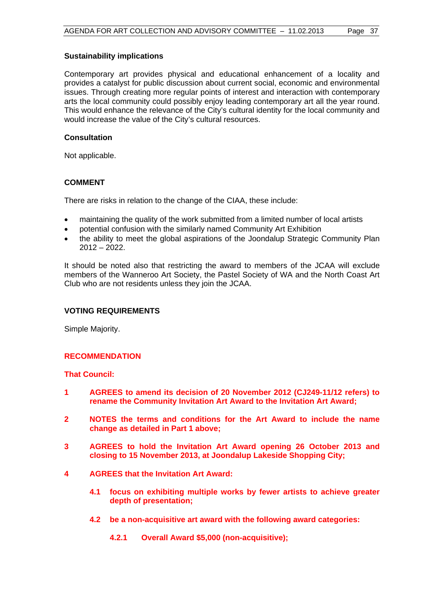### **Sustainability implications**

Contemporary art provides physical and educational enhancement of a locality and provides a catalyst for public discussion about current social, economic and environmental issues. Through creating more regular points of interest and interaction with contemporary arts the local community could possibly enjoy leading contemporary art all the year round. This would enhance the relevance of the City's cultural identity for the local community and would increase the value of the City's cultural resources.

## **Consultation**

Not applicable.

## **COMMENT**

There are risks in relation to the change of the CIAA, these include:

- maintaining the quality of the work submitted from a limited number of local artists
- potential confusion with the similarly named Community Art Exhibition
- the ability to meet the global aspirations of the Joondalup Strategic Community Plan 2012 – 2022.

It should be noted also that restricting the award to members of the JCAA will exclude members of the Wanneroo Art Society, the Pastel Society of WA and the North Coast Art Club who are not residents unless they join the JCAA.

## **VOTING REQUIREMENTS**

Simple Majority.

## **RECOMMENDATION**

## **That Council:**

- **1 AGREES to amend its decision of 20 November 2012 (CJ249-11/12 refers) to rename the Community Invitation Art Award to the Invitation Art Award;**
- **2 NOTES the terms and conditions for the Art Award to include the name change as detailed in Part 1 above;**
- **3 AGREES to hold the Invitation Art Award opening 26 October 2013 and closing to 15 November 2013, at Joondalup Lakeside Shopping City;**
- **4 AGREES that the Invitation Art Award:** 
	- **4.1 focus on exhibiting multiple works by fewer artists to achieve greater depth of presentation;**
	- **4.2 be a non-acquisitive art award with the following award categories:** 
		- **4.2.1 Overall Award \$5,000 (non-acquisitive);**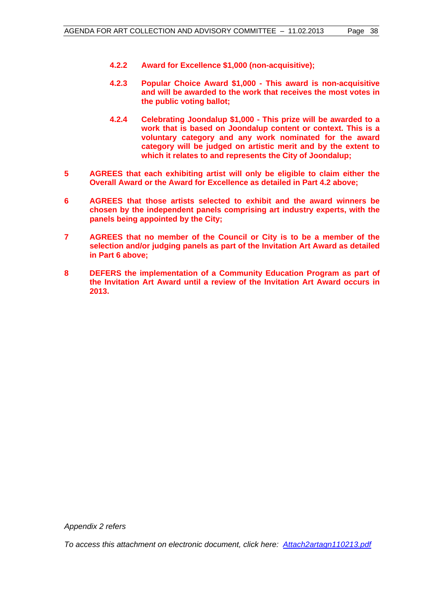- **4.2.2 Award for Excellence \$1,000 (non-acquisitive);**
- **4.2.3 Popular Choice Award \$1,000 This award is non-acquisitive and will be awarded to the work that receives the most votes in the public voting ballot;**
- **4.2.4 Celebrating Joondalup \$1,000 This prize will be awarded to a work that is based on Joondalup content or context. This is a voluntary category and any work nominated for the award category will be judged on artistic merit and by the extent to which it relates to and represents the City of Joondalup;**
- **5 AGREES that each exhibiting artist will only be eligible to claim either the Overall Award or the Award for Excellence as detailed in Part 4.2 above;**
- **6 AGREES that those artists selected to exhibit and the award winners be chosen by the independent panels comprising art industry experts, with the panels being appointed by the City;**
- **7 AGREES that no member of the Council or City is to be a member of the selection and/or judging panels as part of the Invitation Art Award as detailed in Part 6 above;**
- **8 DEFERS the implementation of a Community Education Program as part of the Invitation Art Award until a review of the Invitation Art Award occurs in 2013.**

*Appendix 2 refers* 

*To access this attachment on electronic document, click her[e: Attach2artagn110213.pdf](Attach2artagn110213.pdf)*